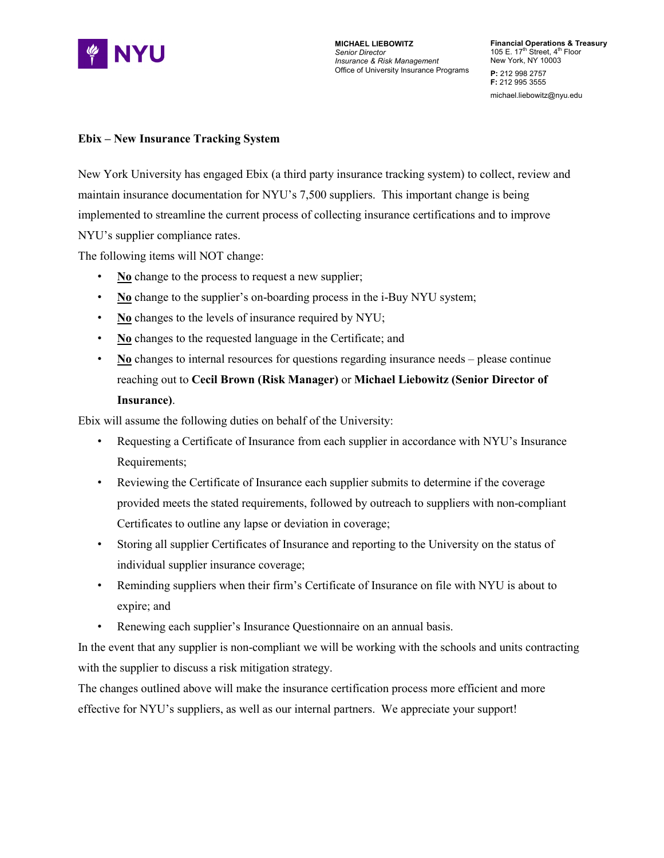

## **Ebix – New Insurance Tracking System**

New York University has engaged Ebix (a third party insurance tracking system) to collect, review and maintain insurance documentation for NYU's 7,500 suppliers. This important change is being implemented to streamline the current process of collecting insurance certifications and to improve NYU's supplier compliance rates.

The following items will NOT change:

- **No** change to the process to request a new supplier;
- No change to the supplier's on-boarding process in the i-Buy NYU system;
- **No** changes to the levels of insurance required by NYU;
- No changes to the requested language in the Certificate; and
- No changes to internal resources for questions regarding insurance needs please continue reaching out to **Cecil Brown (Risk Manager)** or **Michael Liebowitz (Senior Director of Insurance)**.

Ebix will assume the following duties on behalf of the University:

- Requesting a Certificate of Insurance from each supplier in accordance with NYU's Insurance Requirements;
- Reviewing the Certificate of Insurance each supplier submits to determine if the coverage provided meets the stated requirements, followed by outreach to suppliers with non-compliant Certificates to outline any lapse or deviation in coverage;
- Storing all supplier Certificates of Insurance and reporting to the University on the status of individual supplier insurance coverage;
- Reminding suppliers when their firm's Certificate of Insurance on file with NYU is about to expire; and
- Renewing each supplier's Insurance Questionnaire on an annual basis.

In the event that any supplier is non-compliant we will be working with the schools and units contracting with the supplier to discuss a risk mitigation strategy.

The changes outlined above will make the insurance certification process more efficient and more effective for NYU's suppliers, as well as our internal partners. We appreciate your support!